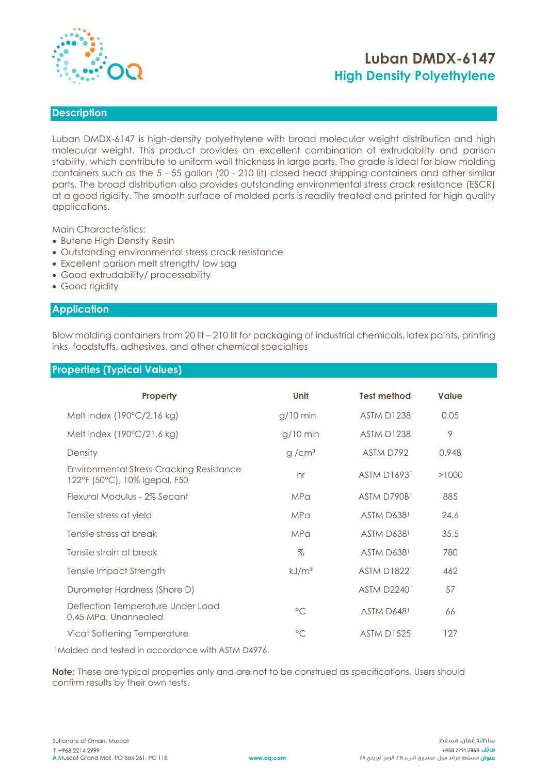

# **Luban DMDX-6147 High Density Polyethylene**

### **Description**

Luban DMDX-6147 is high-density polyethylene with broad molecular weight distribution and high molecular weight. This product provides an excellent combination of extrudability and parison stability, which contribute to uniform wall thickness in large parts. The grade is ideal for blow molding containers such as the 5 - 55 gallon (20 - 210 lit) closed head shipping containers and other similar parts. The broad distribution also provides outstanding environmental stress crack resistance (ESCR) at a good rigidity. The smooth surface of molded parts is readily treated and printed for high quality applications.

Main Characteristics:

- Butene High Density Resin
- Outstanding environmental stress crack resistance
- Excellent parison melt strength/ low sag
- Good extrudability/ processability
- Good rigidity

#### **Application**

Blow molding containers from 20 lit – 210 lit for packaging of industrial chemicals, latex paints, printing inks, foodstuffs, adhesives, and other chemical specialties

### **Properties (Typical Values)**

| Property                                                                         | Unit              | <b>Test method</b> | <b>Value</b> |
|----------------------------------------------------------------------------------|-------------------|--------------------|--------------|
| Melt Index (190°C/2.16 kg)                                                       | $g/10$ min        | <b>ASTM D1238</b>  | 0.05         |
| Melt Index (190°C/21.6 kg)                                                       | $g/10$ min        | <b>ASTM D1238</b>  | 9            |
| Density                                                                          | g/cm <sup>3</sup> | ASTM D792          | 0.948        |
| <b>Environmental Stress-Cracking Resistance</b><br>122°F (50°C), 10% Igepal, F50 | hr                | <b>ASTM D16931</b> | >1000        |
| Flexural Modulus - 2% Secant                                                     | <b>MPa</b>        | ASTM D790B1        | 885          |
| Tensile stress at yield                                                          | <b>MPa</b>        | ASTM D6381         | 24.6         |
| Tensile stress at break                                                          | <b>MPa</b>        | ASTM D6381         | 35.5         |
| Tensile strain at break                                                          | $\%$              | ASTM D6381         | 780          |
| Tensile Impact Strength                                                          | kJ/m <sup>2</sup> | <b>ASTM D18221</b> | 462          |
| Durometer Hardness (Shore D)                                                     |                   | <b>ASTM D22401</b> | 57           |
| Deflection Temperature Under Load<br>0.45 MPa, Unannealed                        | $\circ$ C         | ASTM D6481         | 66           |
| Vicat Softening Temperature                                                      | $\circ$ C         | <b>ASTM D1525</b>  | 127          |

<sup>1</sup>Molded and tested in accordance with ASTM D4976.

**Note:** These are typical properties only and are not to be construed as specifications. Users should confirm results by their own tests.